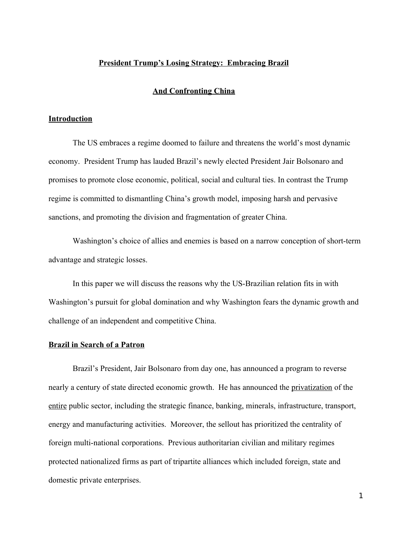# **President Trump's Losing Strategy: Embracing Brazil**

# **And Confronting China**

### **Introduction**

The US embraces a regime doomed to failure and threatens the world's most dynamic economy. President Trump has lauded Brazil's newly elected President Jair Bolsonaro and promises to promote close economic, political, social and cultural ties. In contrast the Trump regime is committed to dismantling China's growth model, imposing harsh and pervasive sanctions, and promoting the division and fragmentation of greater China.

Washington's choice of allies and enemies is based on a narrow conception of short-term advantage and strategic losses.

In this paper we will discuss the reasons why the US-Brazilian relation fits in with Washington's pursuit for global domination and why Washington fears the dynamic growth and challenge of an independent and competitive China.

#### **Brazil in Search of a Patron**

Brazil's President, Jair Bolsonaro from day one, has announced a program to reverse nearly a century of state directed economic growth. He has announced the privatization of the entire public sector, including the strategic finance, banking, minerals, infrastructure, transport, energy and manufacturing activities. Moreover, the sellout has prioritized the centrality of foreign multi-national corporations. Previous authoritarian civilian and military regimes protected nationalized firms as part of tripartite alliances which included foreign, state and domestic private enterprises.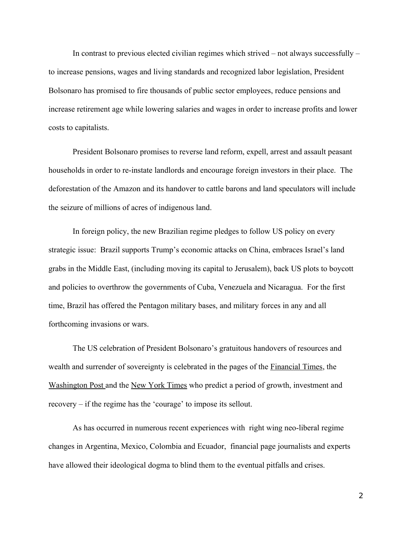In contrast to previous elected civilian regimes which strived – not always successfully – to increase pensions, wages and living standards and recognized labor legislation, President Bolsonaro has promised to fire thousands of public sector employees, reduce pensions and increase retirement age while lowering salaries and wages in order to increase profits and lower costs to capitalists.

President Bolsonaro promises to reverse land reform, expell, arrest and assault peasant households in order to re-instate landlords and encourage foreign investors in their place. The deforestation of the Amazon and its handover to cattle barons and land speculators will include the seizure of millions of acres of indigenous land.

In foreign policy, the new Brazilian regime pledges to follow US policy on every strategic issue: Brazil supports Trump's economic attacks on China, embraces Israel's land grabs in the Middle East, (including moving its capital to Jerusalem), back US plots to boycott and policies to overthrow the governments of Cuba, Venezuela and Nicaragua. For the first time, Brazil has offered the Pentagon military bases, and military forces in any and all forthcoming invasions or wars.

The US celebration of President Bolsonaro's gratuitous handovers of resources and wealth and surrender of sovereignty is celebrated in the pages of the Financial Times, the Washington Post and the New York Times who predict a period of growth, investment and recovery – if the regime has the 'courage' to impose its sellout.

As has occurred in numerous recent experiences with right wing neo-liberal regime changes in Argentina, Mexico, Colombia and Ecuador, financial page journalists and experts have allowed their ideological dogma to blind them to the eventual pitfalls and crises.

2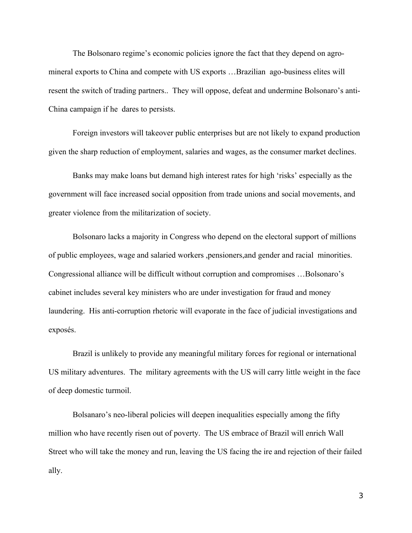The Bolsonaro regime's economic policies ignore the fact that they depend on agromineral exports to China and compete with US exports …Brazilian ago-business elites will resent the switch of trading partners.. They will oppose, defeat and undermine Bolsonaro's anti-China campaign if he dares to persists.

Foreign investors will takeover public enterprises but are not likely to expand production given the sharp reduction of employment, salaries and wages, as the consumer market declines.

Banks may make loans but demand high interest rates for high 'risks' especially as the government will face increased social opposition from trade unions and social movements, and greater violence from the militarization of society.

Bolsonaro lacks a majority in Congress who depend on the electoral support of millions of public employees, wage and salaried workers ,pensioners,and gender and racial minorities. Congressional alliance will be difficult without corruption and compromises …Bolsonaro's cabinet includes several key ministers who are under investigation for fraud and money laundering. His anti-corruption rhetoric will evaporate in the face of judicial investigations and exposés.

Brazil is unlikely to provide any meaningful military forces for regional or international US military adventures. The military agreements with the US will carry little weight in the face of deep domestic turmoil.

Bolsanaro's neo-liberal policies will deepen inequalities especially among the fifty million who have recently risen out of poverty. The US embrace of Brazil will enrich Wall Street who will take the money and run, leaving the US facing the ire and rejection of their failed ally.

3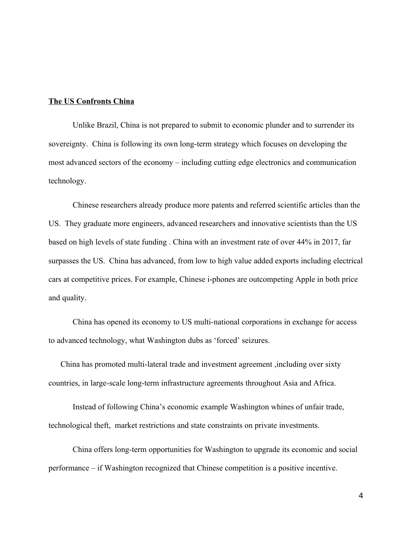### **The US Confronts China**

Unlike Brazil, China is not prepared to submit to economic plunder and to surrender its sovereignty. China is following its own long-term strategy which focuses on developing the most advanced sectors of the economy – including cutting edge electronics and communication technology.

Chinese researchers already produce more patents and referred scientific articles than the US. They graduate more engineers, advanced researchers and innovative scientists than the US based on high levels of state funding . China with an investment rate of over 44% in 2017, far surpasses the US. China has advanced, from low to high value added exports including electrical cars at competitive prices. For example, Chinese i-phones are outcompeting Apple in both price and quality.

China has opened its economy to US multi-national corporations in exchange for access to advanced technology, what Washington dubs as 'forced' seizures.

 China has promoted multi-lateral trade and investment agreement ,including over sixty countries, in large-scale long-term infrastructure agreements throughout Asia and Africa.

Instead of following China's economic example Washington whines of unfair trade, technological theft, market restrictions and state constraints on private investments.

China offers long-term opportunities for Washington to upgrade its economic and social performance – if Washington recognized that Chinese competition is a positive incentive.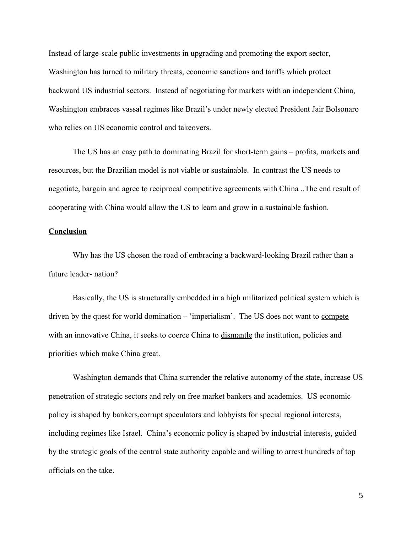Instead of large-scale public investments in upgrading and promoting the export sector, Washington has turned to military threats, economic sanctions and tariffs which protect backward US industrial sectors. Instead of negotiating for markets with an independent China, Washington embraces vassal regimes like Brazil's under newly elected President Jair Bolsonaro who relies on US economic control and takeovers.

The US has an easy path to dominating Brazil for short-term gains – profits, markets and resources, but the Brazilian model is not viable or sustainable. In contrast the US needs to negotiate, bargain and agree to reciprocal competitive agreements with China ..The end result of cooperating with China would allow the US to learn and grow in a sustainable fashion.

## **Conclusion**

Why has the US chosen the road of embracing a backward-looking Brazil rather than a future leader- nation?

Basically, the US is structurally embedded in a high militarized political system which is driven by the quest for world domination – 'imperialism'. The US does not want to compete with an innovative China, it seeks to coerce China to dismantle the institution, policies and priorities which make China great.

Washington demands that China surrender the relative autonomy of the state, increase US penetration of strategic sectors and rely on free market bankers and academics. US economic policy is shaped by bankers,corrupt speculators and lobbyists for special regional interests, including regimes like Israel. China's economic policy is shaped by industrial interests, guided by the strategic goals of the central state authority capable and willing to arrest hundreds of top officials on the take.

5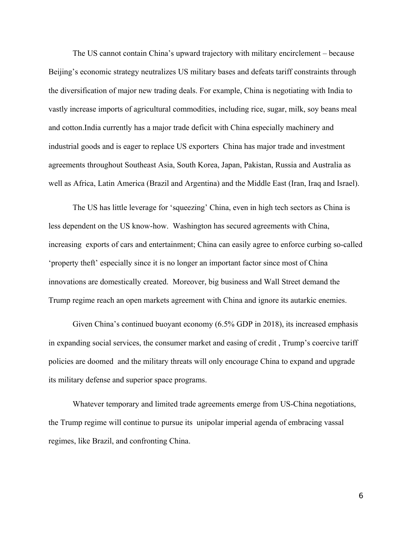The US cannot contain China's upward trajectory with military encirclement – because Beijing's economic strategy neutralizes US military bases and defeats tariff constraints through the diversification of major new trading deals. For example, China is negotiating with India to vastly increase imports of agricultural commodities, including rice, sugar, milk, soy beans meal and cotton.India currently has a major trade deficit with China especially machinery and industrial goods and is eager to replace US exporters China has major trade and investment agreements throughout Southeast Asia, South Korea, Japan, Pakistan, Russia and Australia as well as Africa, Latin America (Brazil and Argentina) and the Middle East (Iran, Iraq and Israel).

The US has little leverage for 'squeezing' China, even in high tech sectors as China is less dependent on the US know-how. Washington has secured agreements with China, increasing exports of cars and entertainment; China can easily agree to enforce curbing so-called 'property theft' especially since it is no longer an important factor since most of China innovations are domestically created. Moreover, big business and Wall Street demand the Trump regime reach an open markets agreement with China and ignore its autarkic enemies.

Given China's continued buoyant economy (6.5% GDP in 2018), its increased emphasis in expanding social services, the consumer market and easing of credit , Trump's coercive tariff policies are doomed and the military threats will only encourage China to expand and upgrade its military defense and superior space programs.

Whatever temporary and limited trade agreements emerge from US-China negotiations, the Trump regime will continue to pursue its unipolar imperial agenda of embracing vassal regimes, like Brazil, and confronting China.